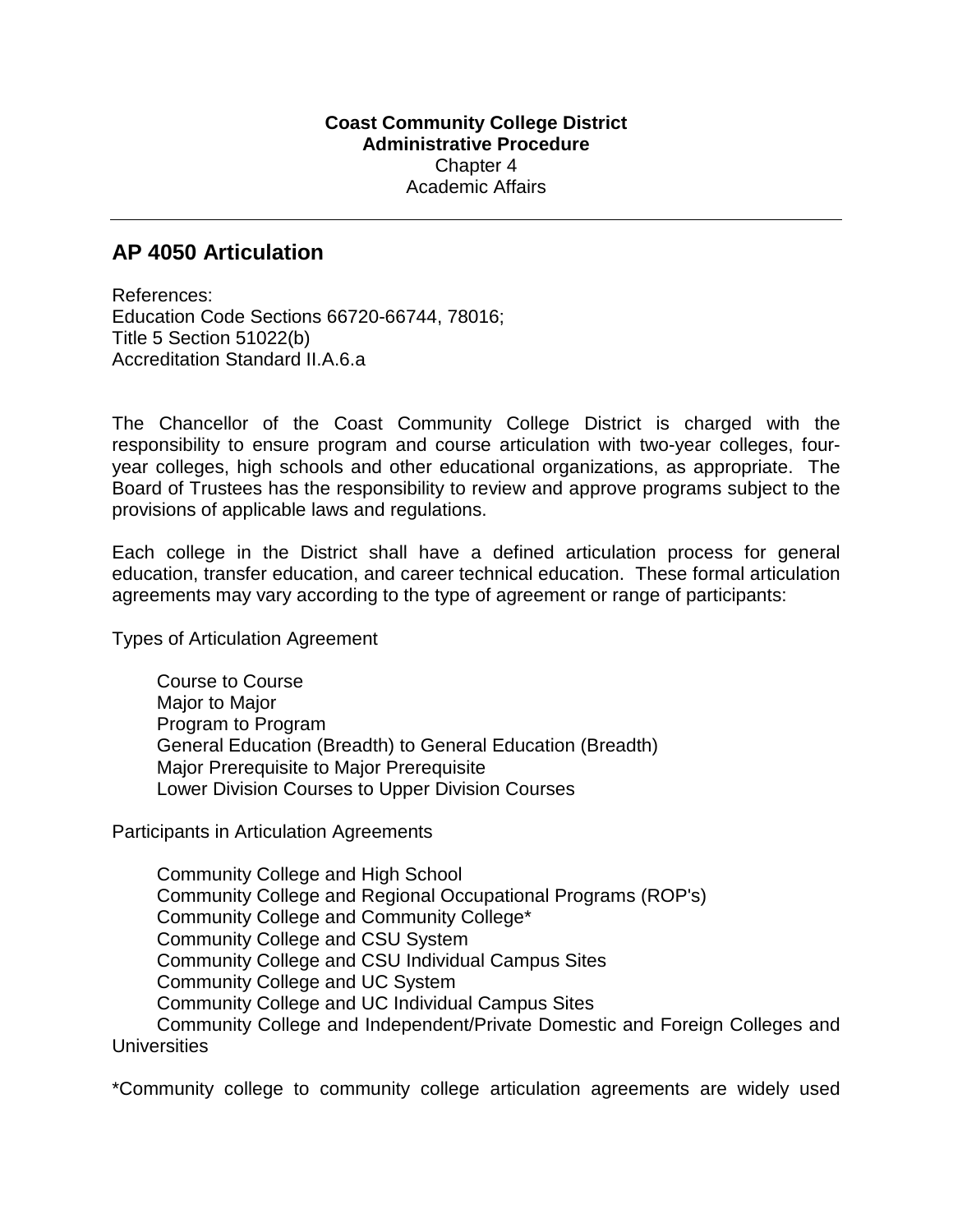## **AP 4050 Articulation**

References: Education Code Sections 66720-66744, 78016; Title 5 Section 51022(b) Accreditation Standard II.A.6.a

The Chancellor of the Coast Community College District is charged with the responsibility to ensure program and course articulation with two-year colleges, fouryear colleges, high schools and other educational organizations, as appropriate. The Board of Trustees has the responsibility to review and approve programs subject to the provisions of applicable laws and regulations.

Each college in the District shall have a defined articulation process for general education, transfer education, and career technical education. These formal articulation agreements may vary according to the type of agreement or range of participants:

Types of Articulation Agreement

Course to Course Major to Major Program to Program General Education (Breadth) to General Education (Breadth) Major Prerequisite to Major Prerequisite Lower Division Courses to Upper Division Courses

Participants in Articulation Agreements

Community College and High School Community College and Regional Occupational Programs (ROP's) Community College and Community College\* Community College and CSU System Community College and CSU Individual Campus Sites Community College and UC System Community College and UC Individual Campus Sites Community College and Independent/Private Domestic and Foreign Colleges and **Universities** 

\*Community college to community college articulation agreements are widely used